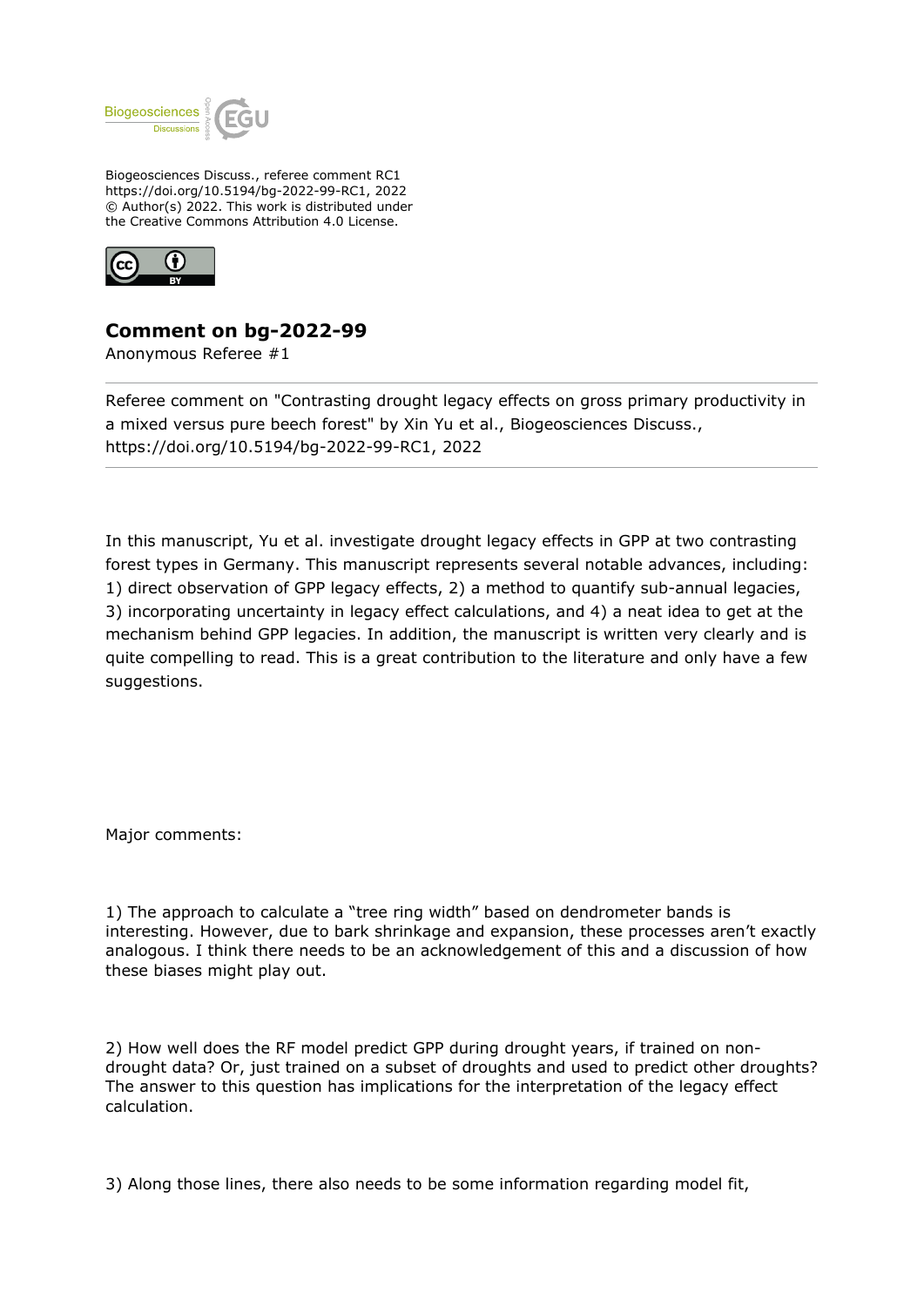

Biogeosciences Discuss., referee comment RC1 https://doi.org/10.5194/bg-2022-99-RC1, 2022 © Author(s) 2022. This work is distributed under the Creative Commons Attribution 4.0 License.



## **Comment on bg-2022-99**

Anonymous Referee #1

Referee comment on "Contrasting drought legacy effects on gross primary productivity in a mixed versus pure beech forest" by Xin Yu et al., Biogeosciences Discuss., https://doi.org/10.5194/bg-2022-99-RC1, 2022

In this manuscript, Yu et al. investigate drought legacy effects in GPP at two contrasting forest types in Germany. This manuscript represents several notable advances, including: 1) direct observation of GPP legacy effects, 2) a method to quantify sub-annual legacies, 3) incorporating uncertainty in legacy effect calculations, and 4) a neat idea to get at the mechanism behind GPP legacies. In addition, the manuscript is written very clearly and is quite compelling to read. This is a great contribution to the literature and only have a few suggestions.

Major comments:

1) The approach to calculate a "tree ring width" based on dendrometer bands is interesting. However, due to bark shrinkage and expansion, these processes aren't exactly analogous. I think there needs to be an acknowledgement of this and a discussion of how these biases might play out.

2) How well does the RF model predict GPP during drought years, if trained on nondrought data? Or, just trained on a subset of droughts and used to predict other droughts? The answer to this question has implications for the interpretation of the legacy effect calculation.

3) Along those lines, there also needs to be some information regarding model fit,